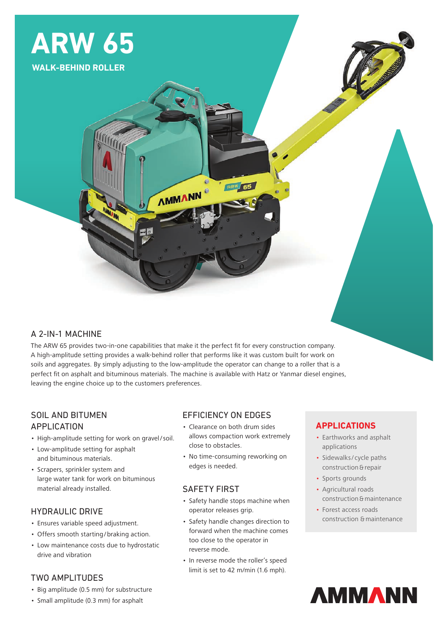

## A 2-IN-1 MACHINE

The ARW 65 provides two-in-one capabilities that make it the perfect fit for every construction company. A high-amplitude setting provides a walk-behind roller that performs like it was custom built for work on soils and aggregates. By simply adjusting to the low-amplitude the operator can change to a roller that is a perfect fit on asphalt and bituminous materials. The machine is available with Hatz or Yanmar diesel engines, leaving the engine choice up to the customers preferences.

**AMMANN** 

# SOIL AND BITUMEN APPLICATION

- High-amplitude setting for work on gravel/soil.
- Low-amplitude setting for asphalt and bituminous materials.
- Scrapers, sprinkler system and large water tank for work on bituminous material already installed.

## HYDRAULIC DRIVE

- Ensures variable speed adjustment.
- Offers smooth starting/braking action.
- Low maintenance costs due to hydrostatic drive and vibration

## TWO AMPLITUDES

- Big amplitude (0.5 mm) for substructure
- Small amplitude (0.3 mm) for asphalt

## EFFICIENCY ON EDGES

• Clearance on both drum sides allows compaction work extremely close to obstacles.

**ARW 65** 

• No time-consuming reworking on edges is needed.

#### SAFETY FIRST

- Safety handle stops machine when operator releases grip.
- Safety handle changes direction to forward when the machine comes too close to the operator in reverse mode.
- In reverse mode the roller's speed limit is set to 42 m/min (1.6 mph).

## **APPLICATIONS**

- Earthworks and asphalt applications
- Sidewalks/ cycle paths construction & repair
- Sports grounds
- Agricultural roads construction & maintenance
- Forest access roads construction & maintenance